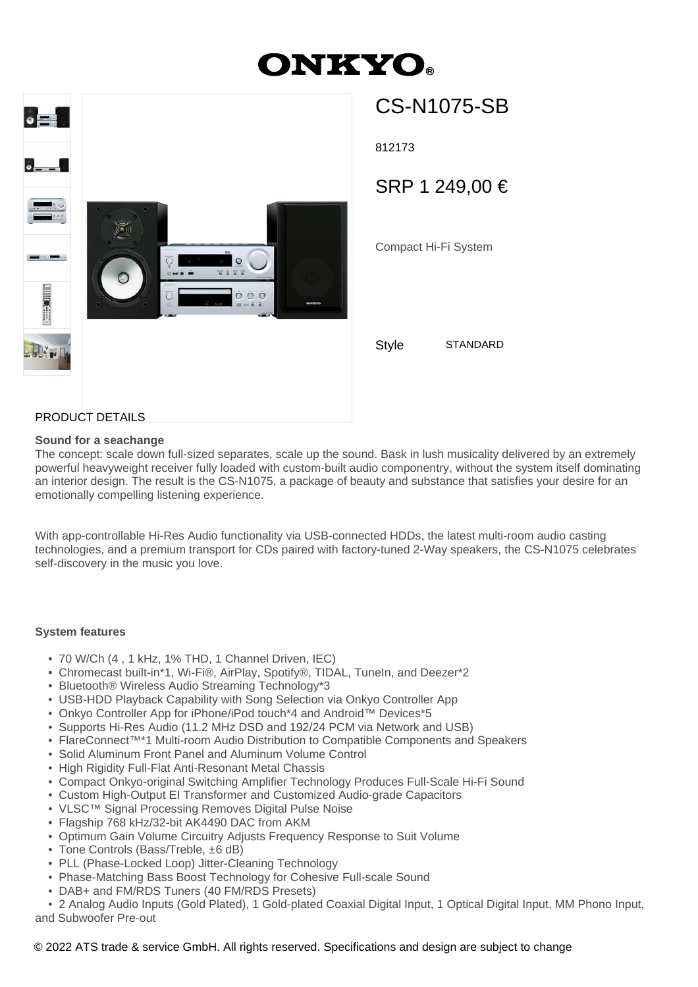# **ONKYO**



# CS-N1075-SB

812173

SRP 1 249,00 €

Compact Hi-Fi System

Style STANDARD

# PRODUCT DETAILS

#### **Sound for a seachange**

The concept: scale down full-sized separates, scale up the sound. Bask in lush musicality delivered by an extremely powerful heavyweight receiver fully loaded with custom-built audio componentry, without the system itself dominating an interior design. The result is the CS-N1075, a package of beauty and substance that satisfies your desire for an emotionally compelling listening experience.

With app-controllable Hi-Res Audio functionality via USB-connected HDDs, the latest multi-room audio casting technologies, and a premium transport for CDs paired with factory-tuned 2-Way speakers, the CS-N1075 celebrates self-discovery in the music you love.

#### **System features**

- 70 W/Ch (4 , 1 kHz, 1% THD, 1 Channel Driven, IEC)
- Chromecast built-in\*1, Wi-Fi®, AirPlay, Spotify®, TIDAL, TuneIn, and Deezer\*2
- Bluetooth® Wireless Audio Streaming Technology\*3
- USB-HDD Playback Capability with Song Selection via Onkyo Controller App
- Onkyo Controller App for iPhone/iPod touch\*4 and Android™ Devices\*5
- Supports Hi-Res Audio (11.2 MHz DSD and 192/24 PCM via Network and USB)
- FlareConnect™\*1 Multi-room Audio Distribution to Compatible Components and Speakers
- Solid Aluminum Front Panel and Aluminum Volume Control
- High Rigidity Full-Flat Anti-Resonant Metal Chassis
- Compact Onkyo-original Switching Amplifier Technology Produces Full-Scale Hi-Fi Sound
- Custom High-Output EI Transformer and Customized Audio-grade Capacitors
- VLSC™ Signal Processing Removes Digital Pulse Noise
- Flagship 768 kHz/32-bit AK4490 DAC from AKM
- Optimum Gain Volume Circuitry Adjusts Frequency Response to Suit Volume
- Tone Controls (Bass/Treble, ±6 dB)
- PLL (Phase-Locked Loop) Jitter-Cleaning Technology
- Phase-Matching Bass Boost Technology for Cohesive Full-scale Sound
- DAB+ and FM/RDS Tuners (40 FM/RDS Presets)

 • 2 Analog Audio Inputs (Gold Plated), 1 Gold-plated Coaxial Digital Input, 1 Optical Digital Input, MM Phono Input, and Subwoofer Pre-out

## © 2022 ATS trade & service GmbH. All rights reserved. Specifications and design are subject to change